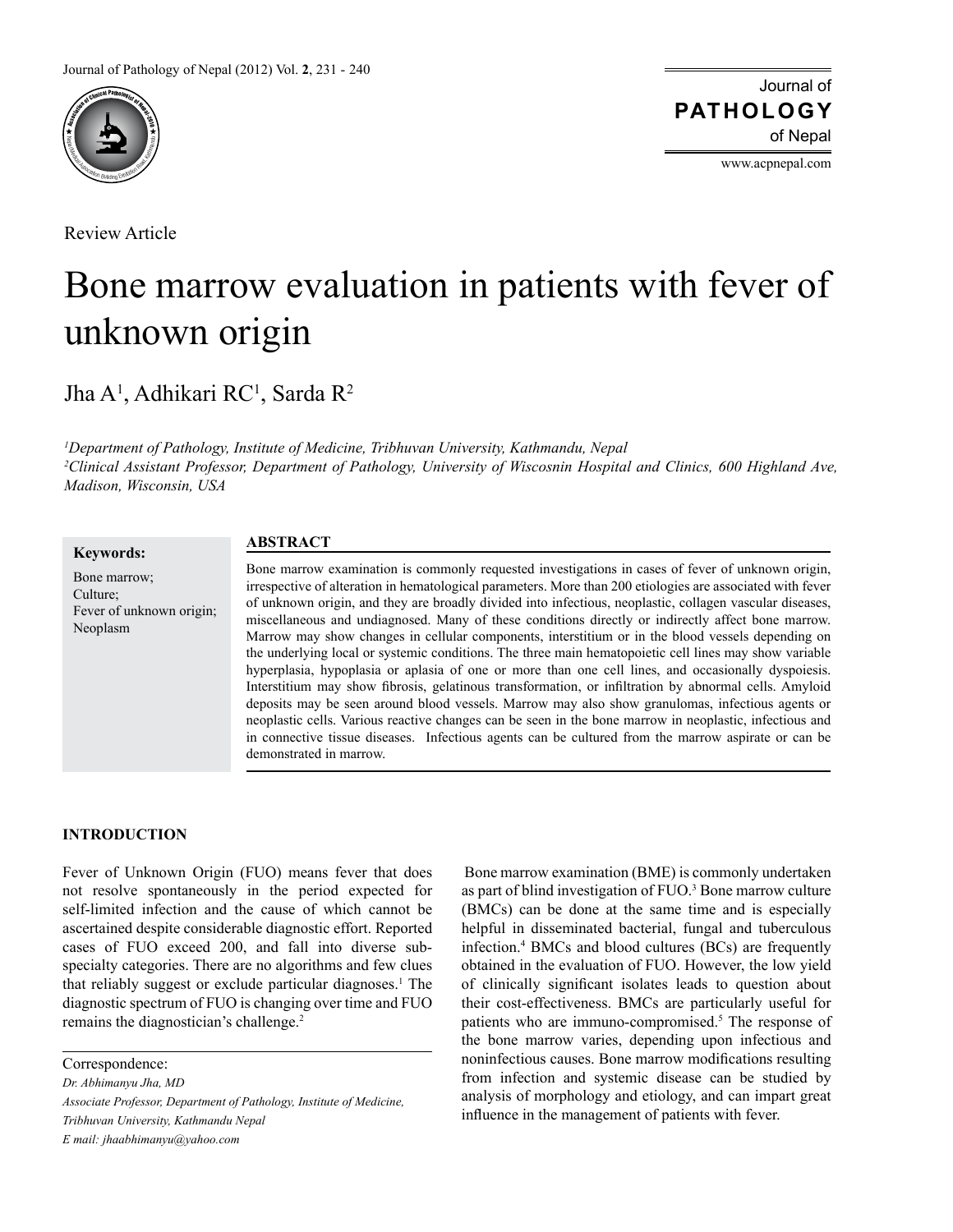

Review Article

Journal of of Nepal **PATHOLOGY**

www.acpnepal.com

# Bone marrow evaluation in patients with fever of unknown origin

Jha A<sup>1</sup>, Adhikari RC<sup>1</sup>, Sarda R<sup>2</sup>

*1 Department of Pathology, Institute of Medicine, Tribhuvan University, Kathmandu, Nepal 2 Clinical Assistant Professor, Department of Pathology, University of Wiscosnin Hospital and Clinics, 600 Highland Ave, Madison, Wisconsin, USA*

**Keywords:**

Neoplasm

#### Bone marrow; Culture; Fever of unknown origin;

# **ABSTRACT**

Bone marrow examination is commonly requested investigations in cases of fever of unknown origin, irrespective of alteration in hematological parameters. More than 200 etiologies are associated with fever of unknown origin, and they are broadly divided into infectious, neoplastic, collagen vascular diseases, miscellaneous and undiagnosed. Many of these conditions directly or indirectly affect bone marrow. Marrow may show changes in cellular components, interstitium or in the blood vessels depending on the underlying local or systemic conditions. The three main hematopoietic cell lines may show variable hyperplasia, hypoplasia or aplasia of one or more than one cell lines, and occasionally dyspoiesis. Interstitium may show fibrosis, gelatinous transformation, or infiltration by abnormal cells. Amyloid deposits may be seen around blood vessels. Marrow may also show granulomas, infectious agents or neoplastic cells. Various reactive changes can be seen in the bone marrow in neoplastic, infectious and in connective tissue diseases. Infectious agents can be cultured from the marrow aspirate or can be demonstrated in marrow.

# **INTRODUCTION**

Fever of Unknown Origin (FUO) means fever that does not resolve spontaneously in the period expected for self-limited infection and the cause of which cannot be ascertained despite considerable diagnostic effort. Reported cases of FUO exceed 200, and fall into diverse subspecialty categories. There are no algorithms and few clues that reliably suggest or exclude particular diagnoses.<sup>1</sup> The diagnostic spectrum of FUO is changing over time and FUO remains the diagnostician's challenge.<sup>2</sup>

Correspondence:

*Dr. Abhimanyu Jha, MD*

*Associate Professor, Department of Pathology, Institute of Medicine, Tribhuvan University, Kathmandu Nepal E mail: jhaabhimanyu@yahoo.com*

 Bone marrow examination (BME) is commonly undertaken as part of blind investigation of FUO.<sup>3</sup> Bone marrow culture (BMCs) can be done at the same time and is especially helpful in disseminated bacterial, fungal and tuberculous infection.4 BMCs and blood cultures (BCs) are frequently obtained in the evaluation of FUO. However, the low yield of clinically significant isolates leads to question about their cost-effectiveness. BMCs are particularly useful for patients who are immuno-compromised.<sup>5</sup> The response of the bone marrow varies, depending upon infectious and noninfectious causes. Bone marrow modifications resulting from infection and systemic disease can be studied by analysis of morphology and etiology, and can impart great influence in the management of patients with fever.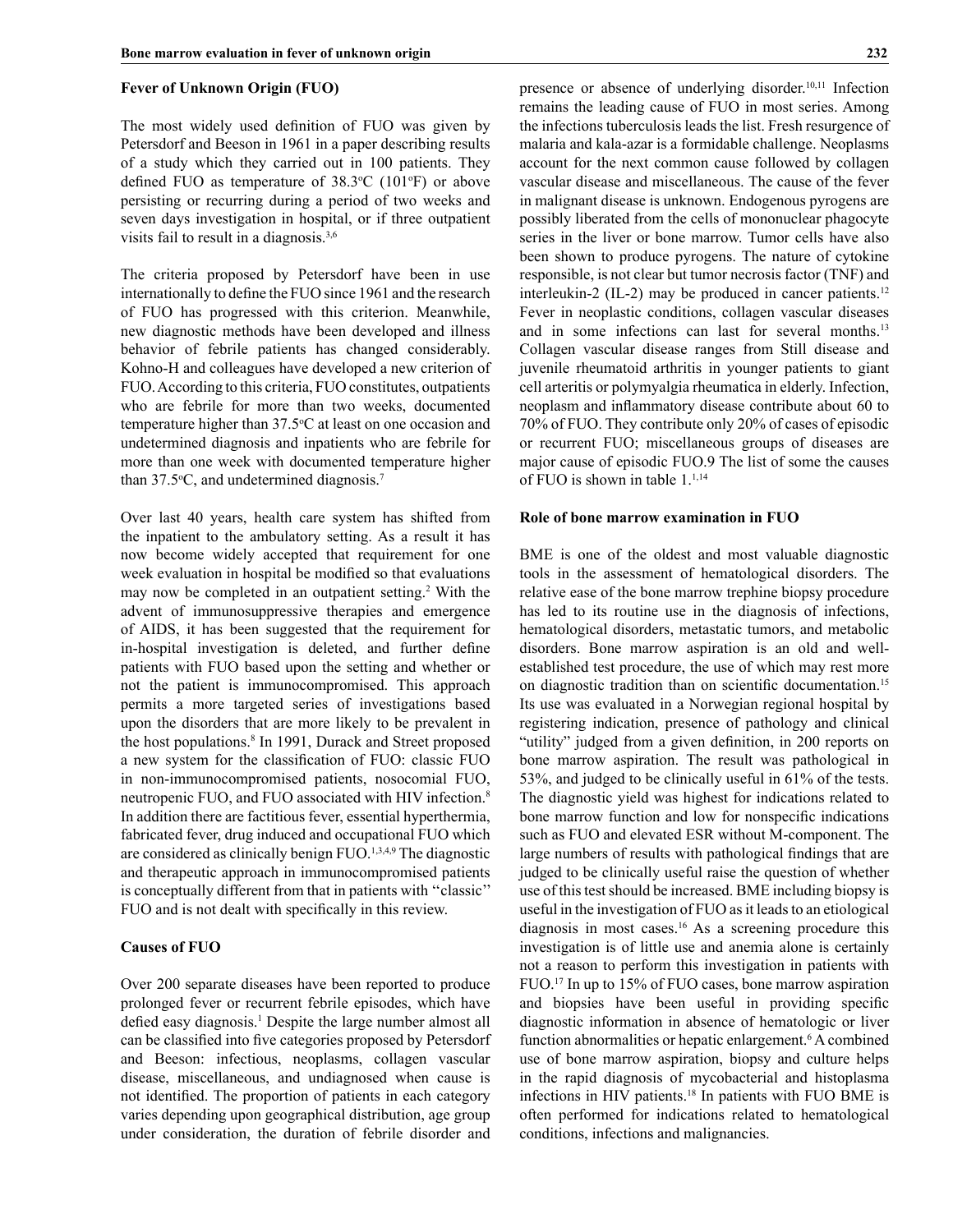#### **Fever of Unknown Origin (FUO)**

The most widely used definition of FUO was given by Petersdorf and Beeson in 1961 in a paper describing results of a study which they carried out in 100 patients. They defined FUO as temperature of  $38.3^{\circ}$ C (101 $^{\circ}$ F) or above persisting or recurring during a period of two weeks and seven days investigation in hospital, or if three outpatient visits fail to result in a diagnosis.<sup>3,6</sup>

The criteria proposed by Petersdorf have been in use internationally to define the FUO since 1961 and the research of FUO has progressed with this criterion. Meanwhile, new diagnostic methods have been developed and illness behavior of febrile patients has changed considerably. Kohno-H and colleagues have developed a new criterion of FUO. According to this criteria, FUO constitutes, outpatients who are febrile for more than two weeks, documented temperature higher than 37.5°C at least on one occasion and undetermined diagnosis and inpatients who are febrile for more than one week with documented temperature higher than  $37.5$ °C, and undetermined diagnosis.<sup>7</sup>

Over last 40 years, health care system has shifted from the inpatient to the ambulatory setting. As a result it has now become widely accepted that requirement for one week evaluation in hospital be modified so that evaluations may now be completed in an outpatient setting.2 With the advent of immunosuppressive therapies and emergence of AIDS, it has been suggested that the requirement for in-hospital investigation is deleted, and further define patients with FUO based upon the setting and whether or not the patient is immunocompromised. This approach permits a more targeted series of investigations based upon the disorders that are more likely to be prevalent in the host populations.<sup>8</sup> In 1991, Durack and Street proposed a new system for the classification of FUO: classic FUO in non-immunocompromised patients, nosocomial FUO, neutropenic FUO, and FUO associated with HIV infection.8 In addition there are factitious fever, essential hyperthermia, fabricated fever, drug induced and occupational FUO which are considered as clinically benign FUO.<sup>1,3,4,9</sup> The diagnostic and therapeutic approach in immunocompromised patients is conceptually different from that in patients with ''classic'' FUO and is not dealt with specifically in this review.

#### **Causes of FUO**

Over 200 separate diseases have been reported to produce prolonged fever or recurrent febrile episodes, which have defied easy diagnosis.<sup>1</sup> Despite the large number almost all can be classified into five categories proposed by Petersdorf and Beeson: infectious, neoplasms, collagen vascular disease, miscellaneous, and undiagnosed when cause is not identified. The proportion of patients in each category varies depending upon geographical distribution, age group under consideration, the duration of febrile disorder and

presence or absence of underlying disorder.<sup>10,11</sup> Infection remains the leading cause of FUO in most series. Among the infections tuberculosis leads the list. Fresh resurgence of malaria and kala-azar is a formidable challenge. Neoplasms account for the next common cause followed by collagen vascular disease and miscellaneous. The cause of the fever in malignant disease is unknown. Endogenous pyrogens are possibly liberated from the cells of mononuclear phagocyte series in the liver or bone marrow. Tumor cells have also been shown to produce pyrogens. The nature of cytokine responsible, is not clear but tumor necrosis factor (TNF) and interleukin-2 (IL-2) may be produced in cancer patients.<sup>12</sup> Fever in neoplastic conditions, collagen vascular diseases and in some infections can last for several months.<sup>13</sup> Collagen vascular disease ranges from Still disease and juvenile rheumatoid arthritis in younger patients to giant cell arteritis or polymyalgia rheumatica in elderly. Infection, neoplasm and inflammatory disease contribute about 60 to 70% of FUO. They contribute only 20% of cases of episodic or recurrent FUO; miscellaneous groups of diseases are major cause of episodic FUO.9 The list of some the causes of FUO is shown in table 1.<sup>1,14</sup>

## **Role of bone marrow examination in FUO**

BME is one of the oldest and most valuable diagnostic tools in the assessment of hematological disorders. The relative ease of the bone marrow trephine biopsy procedure has led to its routine use in the diagnosis of infections, hematological disorders, metastatic tumors, and metabolic disorders. Bone marrow aspiration is an old and wellestablished test procedure, the use of which may rest more on diagnostic tradition than on scientific documentation.<sup>15</sup> Its use was evaluated in a Norwegian regional hospital by registering indication, presence of pathology and clinical "utility" judged from a given definition, in 200 reports on bone marrow aspiration. The result was pathological in 53%, and judged to be clinically useful in 61% of the tests. The diagnostic yield was highest for indications related to bone marrow function and low for nonspecific indications such as FUO and elevated ESR without M-component. The large numbers of results with pathological findings that are judged to be clinically useful raise the question of whether use of this test should be increased. BME including biopsy is useful in the investigation of FUO as it leads to an etiological diagnosis in most cases.16 As a screening procedure this investigation is of little use and anemia alone is certainly not a reason to perform this investigation in patients with FUO.17 In up to 15% of FUO cases, bone marrow aspiration and biopsies have been useful in providing specific diagnostic information in absence of hematologic or liver function abnormalities or hepatic enlargement.<sup>6</sup> A combined use of bone marrow aspiration, biopsy and culture helps in the rapid diagnosis of mycobacterial and histoplasma infections in HIV patients.18 In patients with FUO BME is often performed for indications related to hematological conditions, infections and malignancies.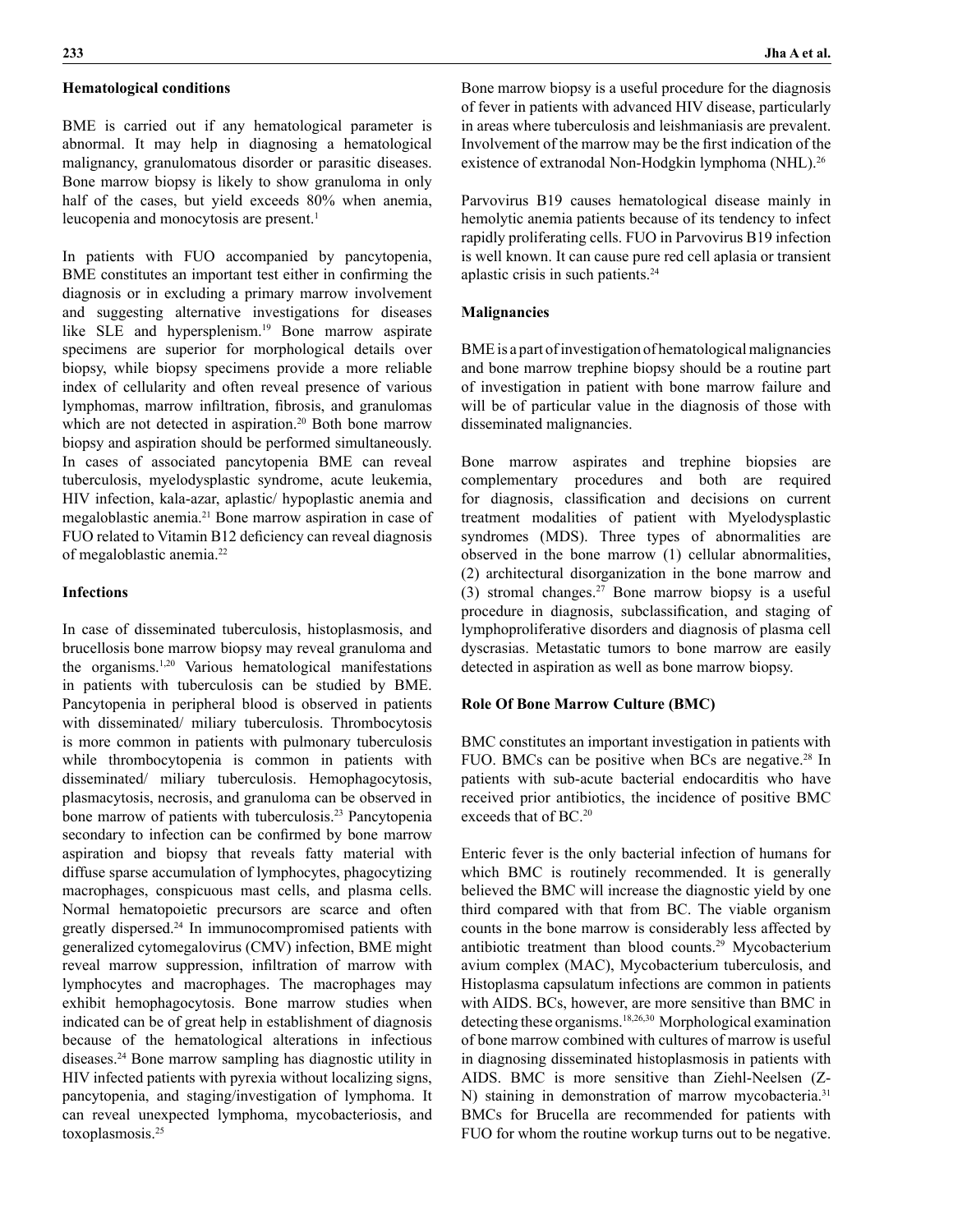## **Hematological conditions**

BME is carried out if any hematological parameter is abnormal. It may help in diagnosing a hematological malignancy, granulomatous disorder or parasitic diseases. Bone marrow biopsy is likely to show granuloma in only half of the cases, but yield exceeds 80% when anemia, leucopenia and monocytosis are present.<sup>1</sup>

In patients with FUO accompanied by pancytopenia, BME constitutes an important test either in confirming the diagnosis or in excluding a primary marrow involvement and suggesting alternative investigations for diseases like SLE and hypersplenism.<sup>19</sup> Bone marrow aspirate specimens are superior for morphological details over biopsy, while biopsy specimens provide a more reliable index of cellularity and often reveal presence of various lymphomas, marrow infiltration, fibrosis, and granulomas which are not detected in aspiration.<sup>20</sup> Both bone marrow biopsy and aspiration should be performed simultaneously. In cases of associated pancytopenia BME can reveal tuberculosis, myelodysplastic syndrome, acute leukemia, HIV infection, kala-azar, aplastic/ hypoplastic anemia and megaloblastic anemia.21 Bone marrow aspiration in case of FUO related to Vitamin B12 deficiency can reveal diagnosis of megaloblastic anemia.22

# **Infections**

In case of disseminated tuberculosis, histoplasmosis, and brucellosis bone marrow biopsy may reveal granuloma and the organisms.1,20 Various hematological manifestations in patients with tuberculosis can be studied by BME. Pancytopenia in peripheral blood is observed in patients with disseminated/ miliary tuberculosis. Thrombocytosis is more common in patients with pulmonary tuberculosis while thrombocytopenia is common in patients with disseminated/ miliary tuberculosis. Hemophagocytosis, plasmacytosis, necrosis, and granuloma can be observed in bone marrow of patients with tuberculosis.<sup>23</sup> Pancytopenia secondary to infection can be confirmed by bone marrow aspiration and biopsy that reveals fatty material with diffuse sparse accumulation of lymphocytes, phagocytizing macrophages, conspicuous mast cells, and plasma cells. Normal hematopoietic precursors are scarce and often greatly dispersed.24 In immunocompromised patients with generalized cytomegalovirus (CMV) infection, BME might reveal marrow suppression, infiltration of marrow with lymphocytes and macrophages. The macrophages may exhibit hemophagocytosis. Bone marrow studies when indicated can be of great help in establishment of diagnosis because of the hematological alterations in infectious diseases.24 Bone marrow sampling has diagnostic utility in HIV infected patients with pyrexia without localizing signs, pancytopenia, and staging/investigation of lymphoma. It can reveal unexpected lymphoma, mycobacteriosis, and toxoplasmosis.25

Bone marrow biopsy is a useful procedure for the diagnosis of fever in patients with advanced HIV disease, particularly in areas where tuberculosis and leishmaniasis are prevalent. Involvement of the marrow may be the first indication of the existence of extranodal Non-Hodgkin lymphoma (NHL).<sup>26</sup>

Parvovirus B19 causes hematological disease mainly in hemolytic anemia patients because of its tendency to infect rapidly proliferating cells. FUO in Parvovirus B19 infection is well known. It can cause pure red cell aplasia or transient aplastic crisis in such patients.24

#### **Malignancies**

BME is a part of investigation of hematological malignancies and bone marrow trephine biopsy should be a routine part of investigation in patient with bone marrow failure and will be of particular value in the diagnosis of those with disseminated malignancies.

Bone marrow aspirates and trephine biopsies are complementary procedures and both are required for diagnosis, classification and decisions on current treatment modalities of patient with Myelodysplastic syndromes (MDS). Three types of abnormalities are observed in the bone marrow (1) cellular abnormalities, (2) architectural disorganization in the bone marrow and (3) stromal changes.<sup>27</sup> Bone marrow biopsy is a useful procedure in diagnosis, subclassification, and staging of lymphoproliferative disorders and diagnosis of plasma cell dyscrasias. Metastatic tumors to bone marrow are easily detected in aspiration as well as bone marrow biopsy.

#### **Role Of Bone Marrow Culture (BMC)**

BMC constitutes an important investigation in patients with FUO. BMCs can be positive when BCs are negative.<sup>28</sup> In patients with sub-acute bacterial endocarditis who have received prior antibiotics, the incidence of positive BMC exceeds that of BC.20

Enteric fever is the only bacterial infection of humans for which BMC is routinely recommended. It is generally believed the BMC will increase the diagnostic yield by one third compared with that from BC. The viable organism counts in the bone marrow is considerably less affected by antibiotic treatment than blood counts.29 Mycobacterium avium complex (MAC), Mycobacterium tuberculosis, and Histoplasma capsulatum infections are common in patients with AIDS. BCs, however, are more sensitive than BMC in detecting these organisms.18,26,30 Morphological examination of bone marrow combined with cultures of marrow is useful in diagnosing disseminated histoplasmosis in patients with AIDS. BMC is more sensitive than Ziehl-Neelsen (Z-N) staining in demonstration of marrow mycobacteria.<sup>31</sup> BMCs for Brucella are recommended for patients with FUO for whom the routine workup turns out to be negative.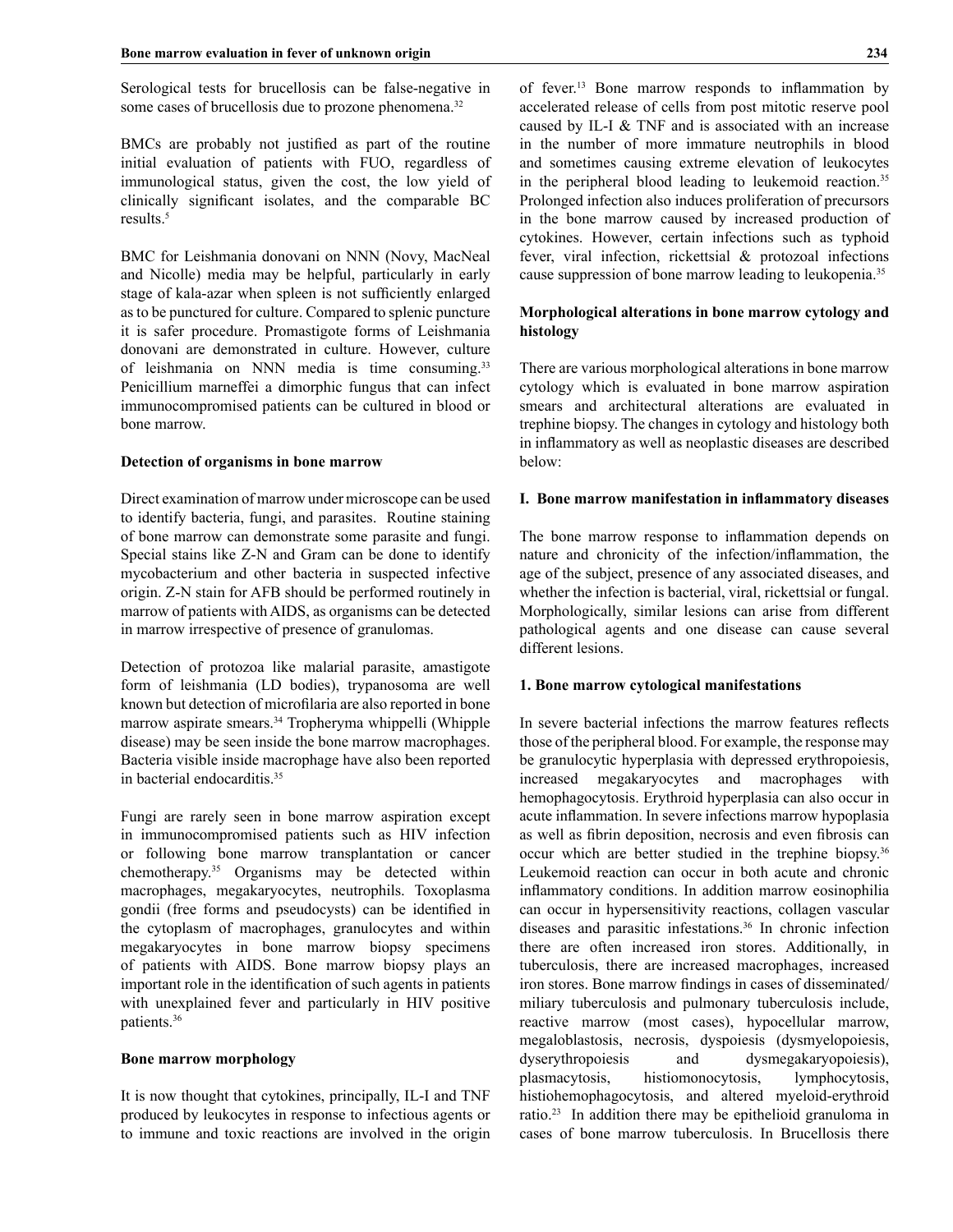Serological tests for brucellosis can be false-negative in some cases of brucellosis due to prozone phenomena.<sup>32</sup>

BMCs are probably not justified as part of the routine initial evaluation of patients with FUO, regardless of immunological status, given the cost, the low yield of clinically significant isolates, and the comparable BC results.5

BMC for Leishmania donovani on NNN (Novy, MacNeal and Nicolle) media may be helpful, particularly in early stage of kala-azar when spleen is not sufficiently enlarged as to be punctured for culture. Compared to splenic puncture it is safer procedure. Promastigote forms of Leishmania donovani are demonstrated in culture. However, culture of leishmania on NNN media is time consuming.33 Penicillium marneffei a dimorphic fungus that can infect immunocompromised patients can be cultured in blood or bone marrow.

### **Detection of organisms in bone marrow**

Direct examination of marrow under microscope can be used to identify bacteria, fungi, and parasites. Routine staining of bone marrow can demonstrate some parasite and fungi. Special stains like Z-N and Gram can be done to identify mycobacterium and other bacteria in suspected infective origin. Z-N stain for AFB should be performed routinely in marrow of patients with AIDS, as organisms can be detected in marrow irrespective of presence of granulomas.

Detection of protozoa like malarial parasite, amastigote form of leishmania (LD bodies), trypanosoma are well known but detection of microfilaria are also reported in bone marrow aspirate smears.<sup>34</sup> Tropheryma whippelli (Whipple disease) may be seen inside the bone marrow macrophages. Bacteria visible inside macrophage have also been reported in bacterial endocarditis.35

Fungi are rarely seen in bone marrow aspiration except in immunocompromised patients such as HIV infection or following bone marrow transplantation or cancer chemotherapy.35 Organisms may be detected within macrophages, megakaryocytes, neutrophils. Toxoplasma gondii (free forms and pseudocysts) can be identified in the cytoplasm of macrophages, granulocytes and within megakaryocytes in bone marrow biopsy specimens of patients with AIDS. Bone marrow biopsy plays an important role in the identification of such agents in patients with unexplained fever and particularly in HIV positive patients.36

#### **Bone marrow morphology**

It is now thought that cytokines, principally, IL-I and TNF produced by leukocytes in response to infectious agents or to immune and toxic reactions are involved in the origin of fever.13 Bone marrow responds to inflammation by accelerated release of cells from post mitotic reserve pool caused by IL-I & TNF and is associated with an increase in the number of more immature neutrophils in blood and sometimes causing extreme elevation of leukocytes in the peripheral blood leading to leukemoid reaction.<sup>35</sup> Prolonged infection also induces proliferation of precursors in the bone marrow caused by increased production of cytokines. However, certain infections such as typhoid fever, viral infection, rickettsial & protozoal infections cause suppression of bone marrow leading to leukopenia.35

# **Morphological alterations in bone marrow cytology and histology**

There are various morphological alterations in bone marrow cytology which is evaluated in bone marrow aspiration smears and architectural alterations are evaluated in trephine biopsy. The changes in cytology and histology both in inflammatory as well as neoplastic diseases are described below:

#### **I. Bone marrow manifestation in inflammatory diseases**

The bone marrow response to inflammation depends on nature and chronicity of the infection/inflammation, the age of the subject, presence of any associated diseases, and whether the infection is bacterial, viral, rickettsial or fungal. Morphologically, similar lesions can arise from different pathological agents and one disease can cause several different lesions.

## **1. Bone marrow cytological manifestations**

In severe bacterial infections the marrow features reflects those of the peripheral blood. For example, the response may be granulocytic hyperplasia with depressed erythropoiesis, increased megakaryocytes and macrophages with hemophagocytosis. Erythroid hyperplasia can also occur in acute inflammation. In severe infections marrow hypoplasia as well as fibrin deposition, necrosis and even fibrosis can occur which are better studied in the trephine biopsy.36 Leukemoid reaction can occur in both acute and chronic inflammatory conditions. In addition marrow eosinophilia can occur in hypersensitivity reactions, collagen vascular diseases and parasitic infestations.36 In chronic infection there are often increased iron stores. Additionally, in tuberculosis, there are increased macrophages, increased iron stores. Bone marrow findings in cases of disseminated/ miliary tuberculosis and pulmonary tuberculosis include, reactive marrow (most cases), hypocellular marrow, megaloblastosis, necrosis, dyspoiesis (dysmyelopoiesis, dyserythropoiesis and dysmegakaryopoiesis), plasmacytosis, histiomonocytosis, lymphocytosis, histiohemophagocytosis, and altered myeloid-erythroid ratio.23 In addition there may be epithelioid granuloma in cases of bone marrow tuberculosis. In Brucellosis there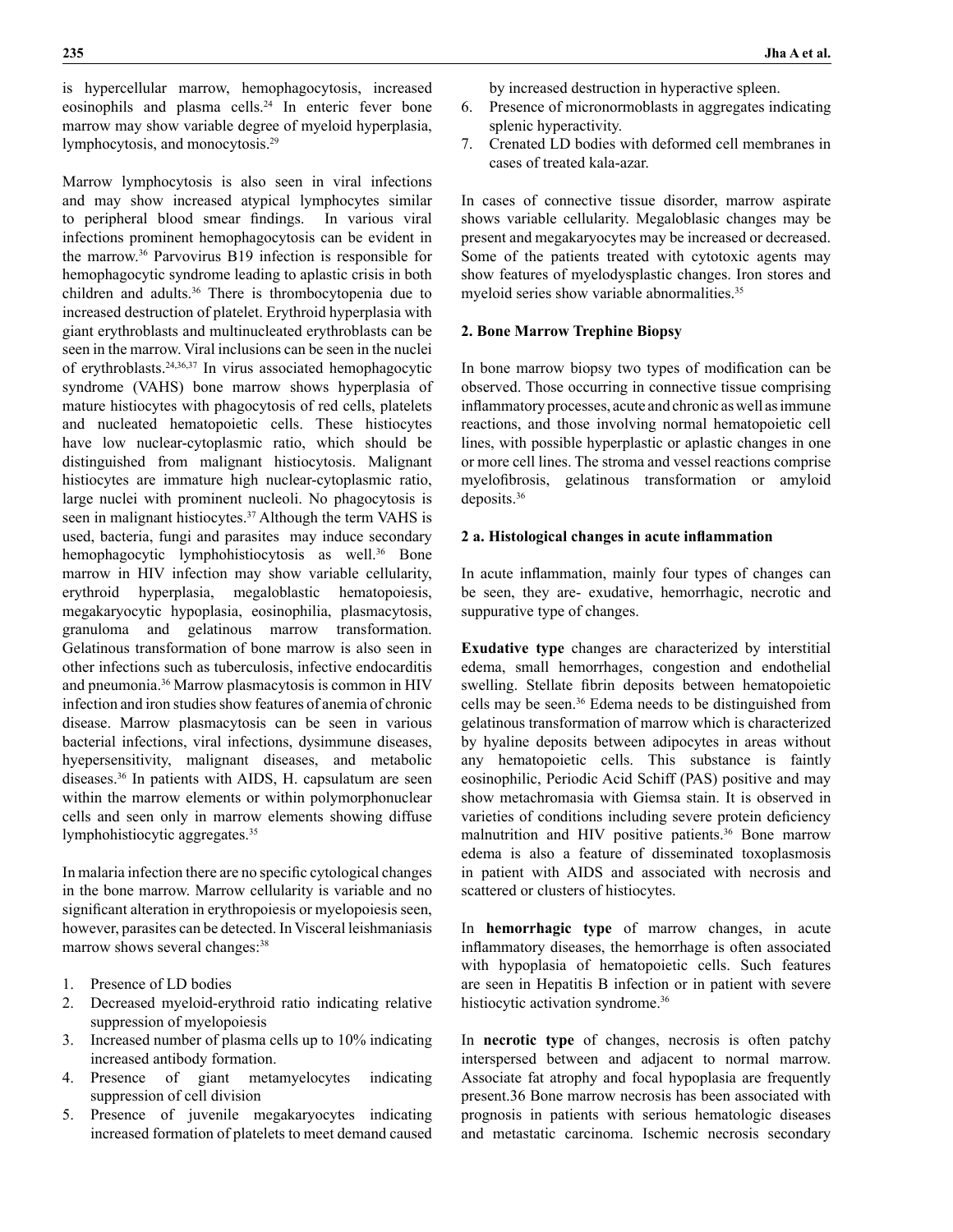is hypercellular marrow, hemophagocytosis, increased eosinophils and plasma cells.<sup>24</sup> In enteric fever bone marrow may show variable degree of myeloid hyperplasia, lymphocytosis, and monocytosis.29

Marrow lymphocytosis is also seen in viral infections and may show increased atypical lymphocytes similar to peripheral blood smear findings. In various viral infections prominent hemophagocytosis can be evident in the marrow.36 Parvovirus B19 infection is responsible for hemophagocytic syndrome leading to aplastic crisis in both children and adults.36 There is thrombocytopenia due to increased destruction of platelet. Erythroid hyperplasia with giant erythroblasts and multinucleated erythroblasts can be seen in the marrow. Viral inclusions can be seen in the nuclei of erythroblasts.24,36,37 In virus associated hemophagocytic syndrome (VAHS) bone marrow shows hyperplasia of mature histiocytes with phagocytosis of red cells, platelets and nucleated hematopoietic cells. These histiocytes have low nuclear-cytoplasmic ratio, which should be distinguished from malignant histiocytosis. Malignant histiocytes are immature high nuclear-cytoplasmic ratio, large nuclei with prominent nucleoli. No phagocytosis is seen in malignant histiocytes.<sup>37</sup> Although the term VAHS is used, bacteria, fungi and parasites may induce secondary hemophagocytic lymphohistiocytosis as well.<sup>36</sup> Bone marrow in HIV infection may show variable cellularity, erythroid hyperplasia, megaloblastic hematopoiesis, megakaryocytic hypoplasia, eosinophilia, plasmacytosis, granuloma and gelatinous marrow transformation. Gelatinous transformation of bone marrow is also seen in other infections such as tuberculosis, infective endocarditis and pneumonia.36 Marrow plasmacytosis is common in HIV infection and iron studies show features of anemia of chronic disease. Marrow plasmacytosis can be seen in various bacterial infections, viral infections, dysimmune diseases, hyepersensitivity, malignant diseases, and metabolic diseases.36 In patients with AIDS, H. capsulatum are seen within the marrow elements or within polymorphonuclear cells and seen only in marrow elements showing diffuse lymphohistiocytic aggregates.35

In malaria infection there are no specific cytological changes in the bone marrow. Marrow cellularity is variable and no significant alteration in erythropoiesis or myelopoiesis seen, however, parasites can be detected. In Visceral leishmaniasis marrow shows several changes:<sup>38</sup>

- 1. Presence of LD bodies
- 2. Decreased myeloid-erythroid ratio indicating relative suppression of myelopoiesis
- 3. Increased number of plasma cells up to 10% indicating increased antibody formation.
- 4. Presence of giant metamyelocytes indicating suppression of cell division
- 5. Presence of juvenile megakaryocytes indicating increased formation of platelets to meet demand caused

by increased destruction in hyperactive spleen.

- 6. Presence of micronormoblasts in aggregates indicating splenic hyperactivity.
- 7. Crenated LD bodies with deformed cell membranes in cases of treated kala-azar.

In cases of connective tissue disorder, marrow aspirate shows variable cellularity. Megaloblasic changes may be present and megakaryocytes may be increased or decreased. Some of the patients treated with cytotoxic agents may show features of myelodysplastic changes. Iron stores and myeloid series show variable abnormalities.<sup>35</sup>

## **2. Bone Marrow Trephine Biopsy**

In bone marrow biopsy two types of modification can be observed. Those occurring in connective tissue comprising inflammatory processes, acute and chronic as well as immune reactions, and those involving normal hematopoietic cell lines, with possible hyperplastic or aplastic changes in one or more cell lines. The stroma and vessel reactions comprise myelofibrosis, gelatinous transformation or amyloid deposits.36

#### **2 a. Histological changes in acute inflammation**

In acute inflammation, mainly four types of changes can be seen, they are- exudative, hemorrhagic, necrotic and suppurative type of changes.

**Exudative type** changes are characterized by interstitial edema, small hemorrhages, congestion and endothelial swelling. Stellate fibrin deposits between hematopoietic cells may be seen.36 Edema needs to be distinguished from gelatinous transformation of marrow which is characterized by hyaline deposits between adipocytes in areas without any hematopoietic cells. This substance is faintly eosinophilic, Periodic Acid Schiff (PAS) positive and may show metachromasia with Giemsa stain. It is observed in varieties of conditions including severe protein deficiency malnutrition and HIV positive patients.<sup>36</sup> Bone marrow edema is also a feature of disseminated toxoplasmosis in patient with AIDS and associated with necrosis and scattered or clusters of histiocytes.

In **hemorrhagic type** of marrow changes, in acute inflammatory diseases, the hemorrhage is often associated with hypoplasia of hematopoietic cells. Such features are seen in Hepatitis B infection or in patient with severe histiocytic activation syndrome.<sup>36</sup>

In **necrotic type** of changes, necrosis is often patchy interspersed between and adjacent to normal marrow. Associate fat atrophy and focal hypoplasia are frequently present.36 Bone marrow necrosis has been associated with prognosis in patients with serious hematologic diseases and metastatic carcinoma. Ischemic necrosis secondary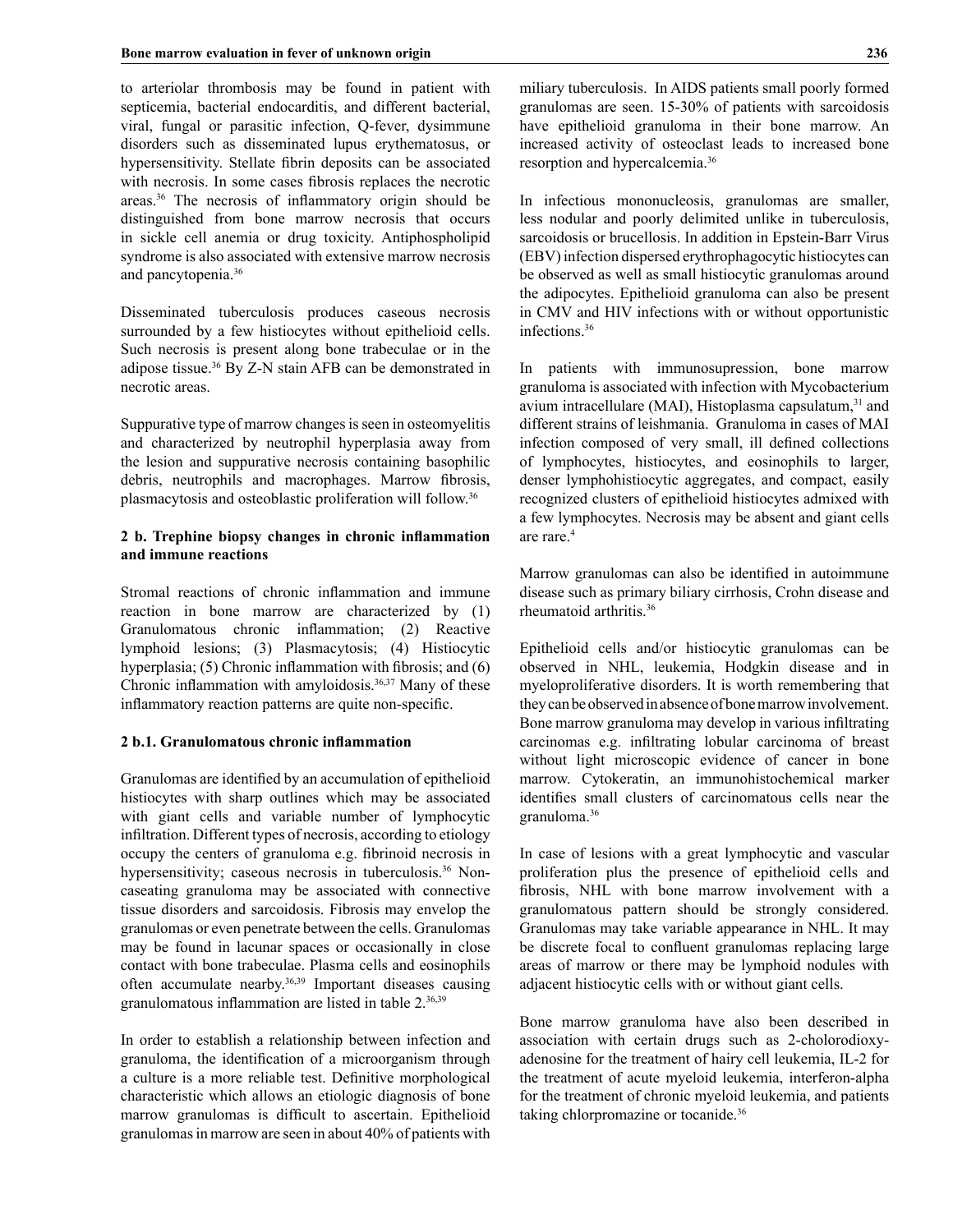to arteriolar thrombosis may be found in patient with septicemia, bacterial endocarditis, and different bacterial, viral, fungal or parasitic infection, Q-fever, dysimmune disorders such as disseminated lupus erythematosus, or hypersensitivity. Stellate fibrin deposits can be associated with necrosis. In some cases fibrosis replaces the necrotic areas.36 The necrosis of inflammatory origin should be distinguished from bone marrow necrosis that occurs in sickle cell anemia or drug toxicity. Antiphospholipid syndrome is also associated with extensive marrow necrosis and pancytopenia.36

Disseminated tuberculosis produces caseous necrosis surrounded by a few histiocytes without epithelioid cells. Such necrosis is present along bone trabeculae or in the adipose tissue.36 By Z-N stain AFB can be demonstrated in necrotic areas.

Suppurative type of marrow changes is seen in osteomyelitis and characterized by neutrophil hyperplasia away from the lesion and suppurative necrosis containing basophilic debris, neutrophils and macrophages. Marrow fibrosis, plasmacytosis and osteoblastic proliferation will follow.36

## **2 b. Trephine biopsy changes in chronic inflammation and immune reactions**

Stromal reactions of chronic inflammation and immune reaction in bone marrow are characterized by (1) Granulomatous chronic inflammation; (2) Reactive lymphoid lesions; (3) Plasmacytosis; (4) Histiocytic hyperplasia; (5) Chronic inflammation with fibrosis; and (6) Chronic inflammation with amyloidosis.36,37 Many of these inflammatory reaction patterns are quite non-specific.

## **2 b.1. Granulomatous chronic inflammation**

Granulomas are identified by an accumulation of epithelioid histiocytes with sharp outlines which may be associated with giant cells and variable number of lymphocytic infiltration. Different types of necrosis, according to etiology occupy the centers of granuloma e.g. fibrinoid necrosis in hypersensitivity; caseous necrosis in tuberculosis.<sup>36</sup> Noncaseating granuloma may be associated with connective tissue disorders and sarcoidosis. Fibrosis may envelop the granulomas or even penetrate between the cells. Granulomas may be found in lacunar spaces or occasionally in close contact with bone trabeculae. Plasma cells and eosinophils often accumulate nearby.<sup>36,39</sup> Important diseases causing granulomatous inflammation are listed in table 2.36,39

In order to establish a relationship between infection and granuloma, the identification of a microorganism through a culture is a more reliable test. Definitive morphological characteristic which allows an etiologic diagnosis of bone marrow granulomas is difficult to ascertain. Epithelioid granulomas in marrow are seen in about 40% of patients with miliary tuberculosis. In AIDS patients small poorly formed granulomas are seen. 15-30% of patients with sarcoidosis have epithelioid granuloma in their bone marrow. An increased activity of osteoclast leads to increased bone resorption and hypercalcemia.36

In infectious mononucleosis, granulomas are smaller, less nodular and poorly delimited unlike in tuberculosis, sarcoidosis or brucellosis. In addition in Epstein-Barr Virus (EBV) infection dispersed erythrophagocytic histiocytes can be observed as well as small histiocytic granulomas around the adipocytes. Epithelioid granuloma can also be present in CMV and HIV infections with or without opportunistic infections.36

In patients with immunosupression, bone marrow granuloma is associated with infection with Mycobacterium avium intracellulare (MAI), Histoplasma capsulatum, $31$  and different strains of leishmania. Granuloma in cases of MAI infection composed of very small, ill defined collections of lymphocytes, histiocytes, and eosinophils to larger, denser lymphohistiocytic aggregates, and compact, easily recognized clusters of epithelioid histiocytes admixed with a few lymphocytes. Necrosis may be absent and giant cells are rare.4

Marrow granulomas can also be identified in autoimmune disease such as primary biliary cirrhosis, Crohn disease and rheumatoid arthritis.36

Epithelioid cells and/or histiocytic granulomas can be observed in NHL, leukemia, Hodgkin disease and in myeloproliferative disorders. It is worth remembering that they can be observed in absence of bone marrow involvement. Bone marrow granuloma may develop in various infiltrating carcinomas e.g. infiltrating lobular carcinoma of breast without light microscopic evidence of cancer in bone marrow. Cytokeratin, an immunohistochemical marker identifies small clusters of carcinomatous cells near the granuloma.36

In case of lesions with a great lymphocytic and vascular proliferation plus the presence of epithelioid cells and fibrosis, NHL with bone marrow involvement with a granulomatous pattern should be strongly considered. Granulomas may take variable appearance in NHL. It may be discrete focal to confluent granulomas replacing large areas of marrow or there may be lymphoid nodules with adjacent histiocytic cells with or without giant cells.

Bone marrow granuloma have also been described in association with certain drugs such as 2-cholorodioxyadenosine for the treatment of hairy cell leukemia, IL-2 for the treatment of acute myeloid leukemia, interferon-alpha for the treatment of chronic myeloid leukemia, and patients taking chlorpromazine or tocanide.36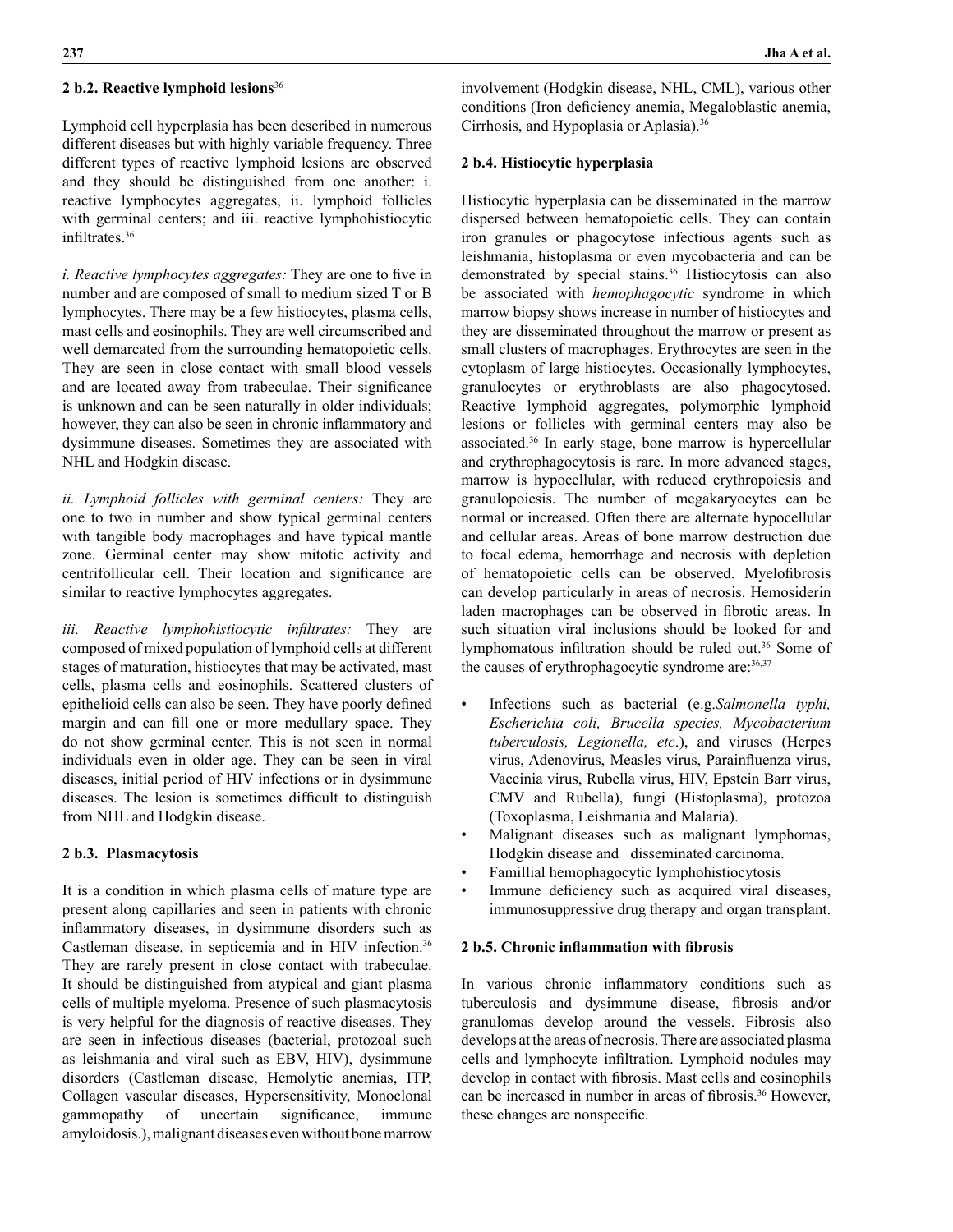## **2 b.2. Reactive lymphoid lesions**<sup>36</sup>

Lymphoid cell hyperplasia has been described in numerous different diseases but with highly variable frequency. Three different types of reactive lymphoid lesions are observed and they should be distinguished from one another: i. reactive lymphocytes aggregates, ii. lymphoid follicles with germinal centers; and iii. reactive lymphohistiocytic infiltrates.<sup>36</sup>

*i. Reactive lymphocytes aggregates:* They are one to five in number and are composed of small to medium sized T or B lymphocytes. There may be a few histiocytes, plasma cells, mast cells and eosinophils. They are well circumscribed and well demarcated from the surrounding hematopoietic cells. They are seen in close contact with small blood vessels and are located away from trabeculae. Their significance is unknown and can be seen naturally in older individuals; however, they can also be seen in chronic inflammatory and dysimmune diseases. Sometimes they are associated with NHL and Hodgkin disease.

*ii. Lymphoid follicles with germinal centers:* They are one to two in number and show typical germinal centers with tangible body macrophages and have typical mantle zone. Germinal center may show mitotic activity and centrifollicular cell. Their location and significance are similar to reactive lymphocytes aggregates.

*iii. Reactive lymphohistiocytic infiltrates:* They are composed of mixed population of lymphoid cells at different stages of maturation, histiocytes that may be activated, mast cells, plasma cells and eosinophils. Scattered clusters of epithelioid cells can also be seen. They have poorly defined margin and can fill one or more medullary space. They do not show germinal center. This is not seen in normal individuals even in older age. They can be seen in viral diseases, initial period of HIV infections or in dysimmune diseases. The lesion is sometimes difficult to distinguish from NHL and Hodgkin disease.

#### **2 b.3. Plasmacytosis**

It is a condition in which plasma cells of mature type are present along capillaries and seen in patients with chronic inflammatory diseases, in dysimmune disorders such as Castleman disease, in septicemia and in HIV infection.36 They are rarely present in close contact with trabeculae. It should be distinguished from atypical and giant plasma cells of multiple myeloma. Presence of such plasmacytosis is very helpful for the diagnosis of reactive diseases. They are seen in infectious diseases (bacterial, protozoal such as leishmania and viral such as EBV, HIV), dysimmune disorders (Castleman disease, Hemolytic anemias, ITP, Collagen vascular diseases, Hypersensitivity, Monoclonal gammopathy of uncertain significance, immune amyloidosis.), malignant diseases even without bone marrow

involvement (Hodgkin disease, NHL, CML), various other conditions (Iron deficiency anemia, Megaloblastic anemia, Cirrhosis, and Hypoplasia or Aplasia).36

## **2 b.4. Histiocytic hyperplasia**

Histiocytic hyperplasia can be disseminated in the marrow dispersed between hematopoietic cells. They can contain iron granules or phagocytose infectious agents such as leishmania, histoplasma or even mycobacteria and can be demonstrated by special stains.<sup>36</sup> Histiocytosis can also be associated with *hemophagocytic* syndrome in which marrow biopsy shows increase in number of histiocytes and they are disseminated throughout the marrow or present as small clusters of macrophages. Erythrocytes are seen in the cytoplasm of large histiocytes. Occasionally lymphocytes, granulocytes or erythroblasts are also phagocytosed. Reactive lymphoid aggregates, polymorphic lymphoid lesions or follicles with germinal centers may also be associated.36 In early stage, bone marrow is hypercellular and erythrophagocytosis is rare. In more advanced stages, marrow is hypocellular, with reduced erythropoiesis and granulopoiesis. The number of megakaryocytes can be normal or increased. Often there are alternate hypocellular and cellular areas. Areas of bone marrow destruction due to focal edema, hemorrhage and necrosis with depletion of hematopoietic cells can be observed. Myelofibrosis can develop particularly in areas of necrosis. Hemosiderin laden macrophages can be observed in fibrotic areas. In such situation viral inclusions should be looked for and lymphomatous infiltration should be ruled out.36 Some of the causes of erythrophagocytic syndrome are: 36,37

- Infections such as bacterial (e.g.*Salmonella typhi, Escherichia coli, Brucella species, Mycobacterium tuberculosis, Legionella, etc*.), and viruses (Herpes virus, Adenovirus, Measles virus, Parainfluenza virus, Vaccinia virus, Rubella virus, HIV, Epstein Barr virus, CMV and Rubella), fungi (Histoplasma), protozoa (Toxoplasma, Leishmania and Malaria).
- Malignant diseases such as malignant lymphomas, Hodgkin disease and disseminated carcinoma.
- Famillial hemophagocytic lymphohistiocytosis
- Immune deficiency such as acquired viral diseases, immunosuppressive drug therapy and organ transplant.

#### **2 b.5. Chronic inflammation with fibrosis**

In various chronic inflammatory conditions such as tuberculosis and dysimmune disease, fibrosis and/or granulomas develop around the vessels. Fibrosis also develops at the areas of necrosis. There are associated plasma cells and lymphocyte infiltration. Lymphoid nodules may develop in contact with fibrosis. Mast cells and eosinophils can be increased in number in areas of fibrosis.<sup>36</sup> However, these changes are nonspecific.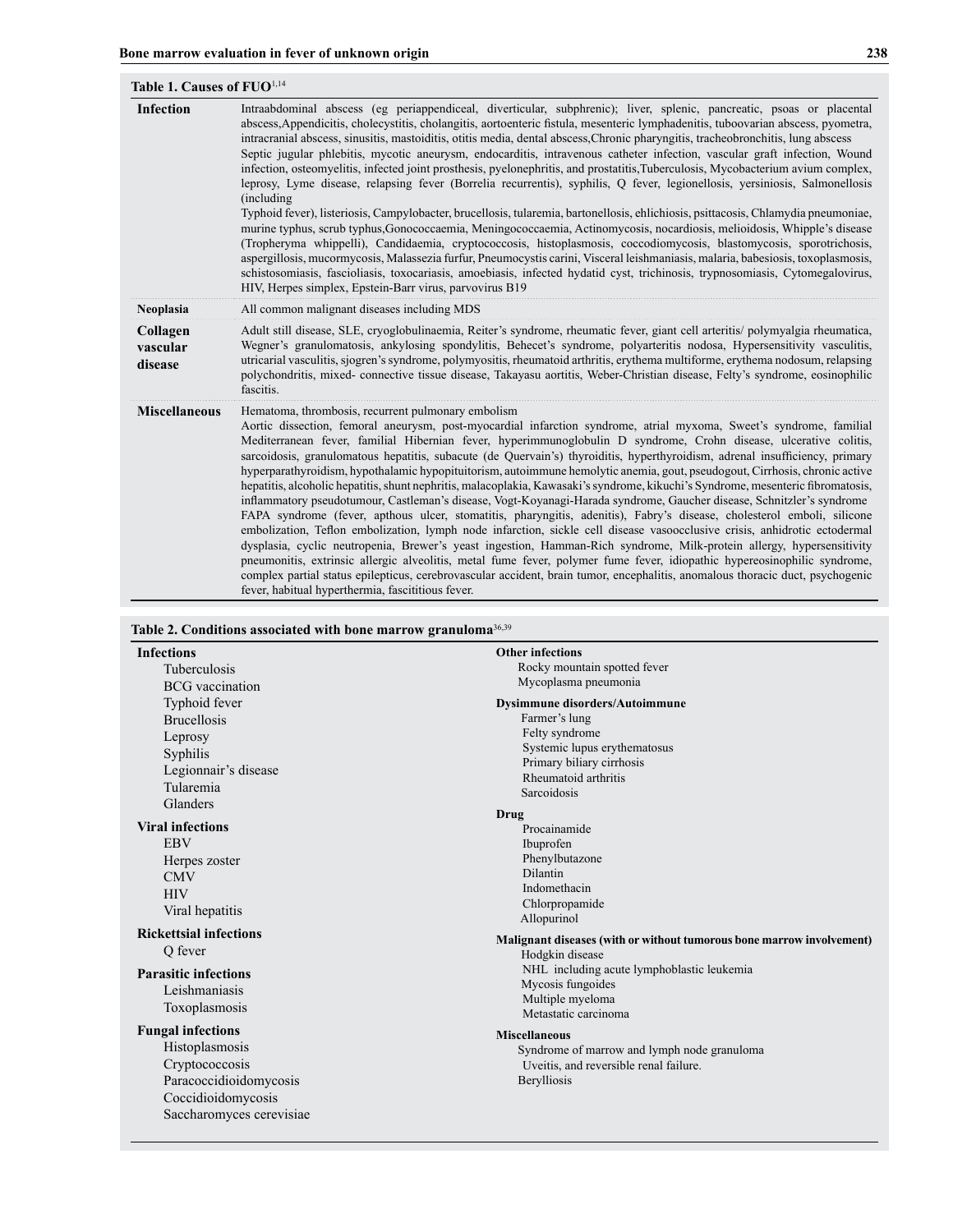| Table 1. Causes of FUO <sup>1,14</sup> |                                                                                                                                                                                                                                                                                                                                                                                                                                                                                                                                                                                                                                                                                                                                                                                                                                                                                                                                                                                                                                                                                                                                                                                                                                                                                                                                                                                                                                                                                                                                         |  |
|----------------------------------------|-----------------------------------------------------------------------------------------------------------------------------------------------------------------------------------------------------------------------------------------------------------------------------------------------------------------------------------------------------------------------------------------------------------------------------------------------------------------------------------------------------------------------------------------------------------------------------------------------------------------------------------------------------------------------------------------------------------------------------------------------------------------------------------------------------------------------------------------------------------------------------------------------------------------------------------------------------------------------------------------------------------------------------------------------------------------------------------------------------------------------------------------------------------------------------------------------------------------------------------------------------------------------------------------------------------------------------------------------------------------------------------------------------------------------------------------------------------------------------------------------------------------------------------------|--|
| <b>Infection</b>                       | Intraabdominal abscess (eg periappendiceal, diverticular, subphrenic); liver, splenic, pancreatic, psoas or placental<br>abscess, Appendicitis, cholecystitis, cholangitis, aortoenteric fistula, mesenteric lymphadenitis, tuboovarian abscess, pyometra,<br>intracranial abscess, sinusitis, mastoiditis, otitis media, dental abscess, Chronic pharyngitis, tracheobronchitis, lung abscess<br>Septic jugular phlebitis, mycotic aneurysm, endocarditis, intravenous catheter infection, vascular graft infection, Wound<br>infection, osteomyelitis, infected joint prosthesis, pyelonephritis, and prostatitis, Tuberculosis, Mycobacterium avium complex,<br>leprosy, Lyme disease, relapsing fever (Borrelia recurrentis), syphilis, Q fever, legionellosis, yersiniosis, Salmonellosis<br>(including)<br>Typhoid fever), listeriosis, Campylobacter, brucellosis, tularemia, bartonellosis, ehlichiosis, psittacosis, Chlamydia pneumoniae,<br>murine typhus, scrub typhus, Gonococcaemia, Meningococcaemia, Actinomycosis, nocardiosis, melioidosis, Whipple's disease<br>(Tropheryma whippelli), Candidaemia, cryptococcosis, histoplasmosis, coccodiomycosis, blastomycosis, sporotrichosis,<br>aspergillosis, mucormycosis, Malassezia furfur, Pneumocystis carini, Visceral leishmaniasis, malaria, babesiosis, toxoplasmosis,<br>schistosomiasis, fascioliasis, toxocariasis, amoebiasis, infected hydatid cyst, trichinosis, trypnosomiasis, Cytomegalovirus,<br>HIV, Herpes simplex, Epstein-Barr virus, parvovirus B19 |  |
| <b>Neoplasia</b>                       | All common malignant diseases including MDS                                                                                                                                                                                                                                                                                                                                                                                                                                                                                                                                                                                                                                                                                                                                                                                                                                                                                                                                                                                                                                                                                                                                                                                                                                                                                                                                                                                                                                                                                             |  |
| Collagen<br>vascular<br>disease        | Adult still disease, SLE, cryoglobulinaemia, Reiter's syndrome, rheumatic fever, giant cell arteritis/polymyalgia rheumatica,<br>Wegner's granulomatosis, ankylosing spondylitis, Behecet's syndrome, polyarteritis nodosa, Hypersensitivity vasculitis,<br>utricarial vasculitis, sjogren's syndrome, polymyositis, rheumatoid arthritis, erythema multiforme, erythema nodosum, relapsing<br>polychondritis, mixed- connective tissue disease, Takayasu aortitis, Weber-Christian disease, Felty's syndrome, eosinophilic<br>fascitis.                                                                                                                                                                                                                                                                                                                                                                                                                                                                                                                                                                                                                                                                                                                                                                                                                                                                                                                                                                                                |  |
| <b>Miscellaneous</b>                   | Hematoma, thrombosis, recurrent pulmonary embolism<br>Aortic dissection, femoral aneurysm, post-myocardial infarction syndrome, atrial myxoma, Sweet's syndrome, familial<br>Mediterranean fever, familial Hibernian fever, hyperimmunoglobulin D syndrome, Crohn disease, ulcerative colitis,<br>sarcoidosis, granulomatous hepatitis, subacute (de Quervain's) thyroiditis, hyperthyroidism, adrenal insufficiency, primary<br>hyperparathyroidism, hypothalamic hypopituitorism, autoimmune hemolytic anemia, gout, pseudogout, Cirrhosis, chronic active<br>hepatitis, alcoholic hepatitis, shunt nephritis, malacoplakia, Kawasaki's syndrome, kikuchi's Syndrome, mesenteric fibromatosis,<br>inflammatory pseudotumour, Castleman's disease, Vogt-Koyanagi-Harada syndrome, Gaucher disease, Schnitzler's syndrome<br>FAPA syndrome (fever, apthous ulcer, stomatitis, pharyngitis, adenitis), Fabry's disease, cholesterol emboli, silicone<br>embolization, Teflon embolization, lymph node infarction, sickle cell disease vasoocclusive crisis, anhidrotic ectodermal<br>dysplasia, cyclic neutropenia, Brewer's yeast ingestion, Hamman-Rich syndrome, Milk-protein allergy, hypersensitivity<br>pneumonitis, extrinsic allergic alveolitis, metal fume fever, polymer fume fever, idiopathic hypereosinophilic syndrome,<br>complex partial status epilepticus, cerebrovascular accident, brain tumor, encephalitis, anomalous thoracic duct, psychogenic<br>fever, habitual hyperthermia, fascititious fever.             |  |

| <b>Infections</b>             | <b>Other infections</b>                                                                  |
|-------------------------------|------------------------------------------------------------------------------------------|
| <b>Tuberculosis</b>           | Rocky mountain spotted fever                                                             |
| <b>BCG</b> vaccination        | Mycoplasma pneumonia                                                                     |
| Typhoid fever                 | Dysimmune disorders/Autoimmune                                                           |
| <b>Brucellosis</b>            | Farmer's lung                                                                            |
| Leprosy                       | Felty syndrome                                                                           |
| Syphilis                      | Systemic lupus erythematosus                                                             |
| Legionnair's disease          | Primary biliary cirrhosis<br>Rheumatoid arthritis                                        |
| Tularemia                     | Sarcoidosis                                                                              |
| Glanders                      |                                                                                          |
| <b>Viral infections</b>       | Drug<br>Procainamide                                                                     |
| <b>EBV</b>                    | Ibuprofen                                                                                |
| Herpes zoster                 | Phenylbutazone                                                                           |
| <b>CMV</b>                    | Dilantin                                                                                 |
| <b>HIV</b>                    | Indomethacin                                                                             |
| Viral hepatitis               | Chlorpropamide<br>Allopurinol                                                            |
| <b>Rickettsial infections</b> |                                                                                          |
| Q fever                       | Malignant diseases (with or without tumorous bone marrow involvement)<br>Hodgkin disease |
| <b>Parasitic infections</b>   | NHL including acute lymphoblastic leukemia                                               |
| Leishmaniasis                 | Mycosis fungoides                                                                        |
| Toxoplasmosis                 | Multiple myeloma                                                                         |
|                               | Metastatic carcinoma                                                                     |
| <b>Fungal infections</b>      | <b>Miscellaneous</b>                                                                     |
| Histoplasmosis                | Syndrome of marrow and lymph node granuloma                                              |
| Cryptococcosis                | Uveitis, and reversible renal failure.                                                   |
| Paracoccidioidomycosis        | Berylliosis                                                                              |
| Coccidioidomycosis            |                                                                                          |
| Saccharomyces cerevisiae      |                                                                                          |

# **238**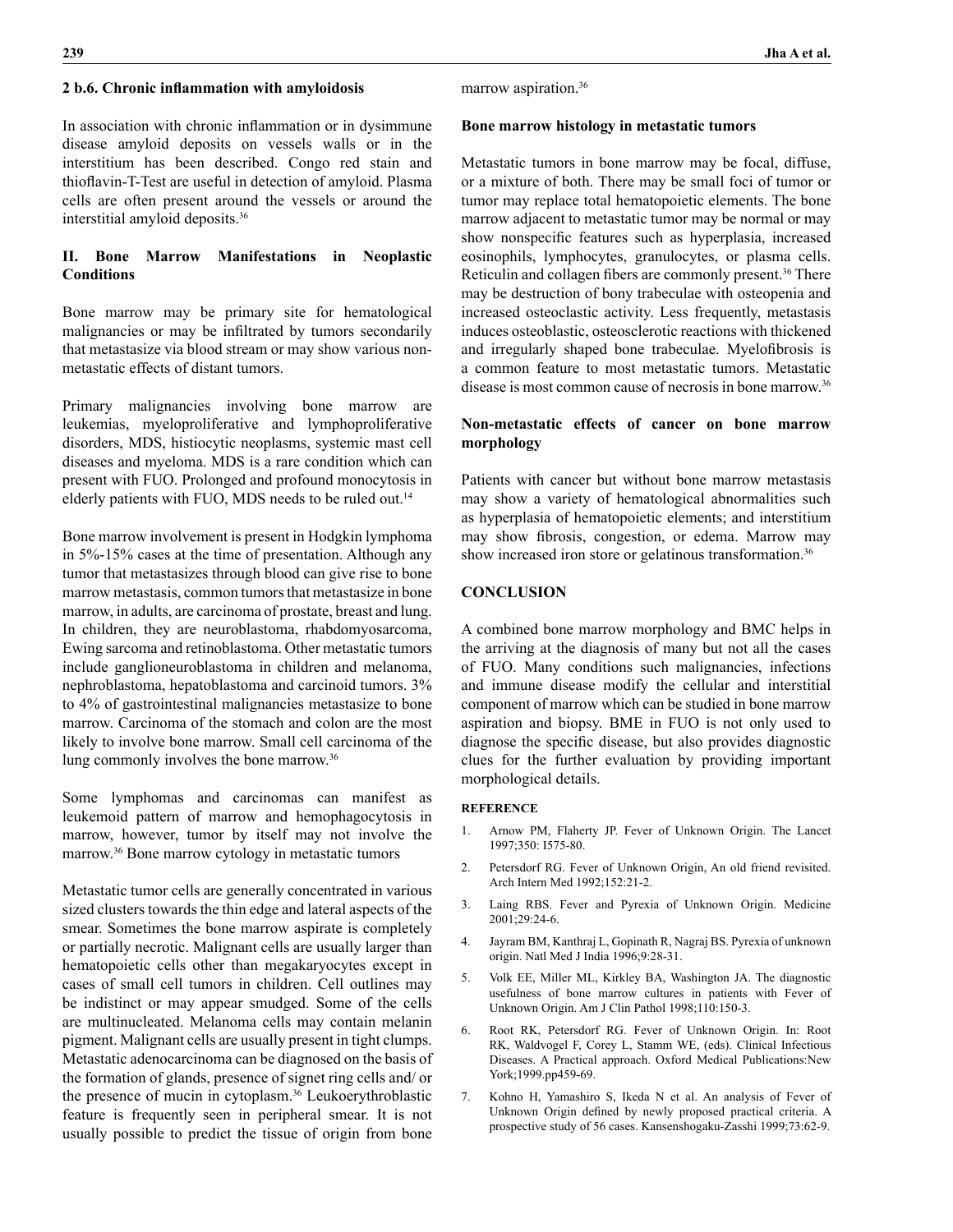#### **2 b.6. Chronic inflammation with amyloidosis**

In association with chronic inflammation or in dysimmune disease amyloid deposits on vessels walls or in the interstitium has been described. Congo red stain and thioflavin-T-Test are useful in detection of amyloid. Plasma cells are often present around the vessels or around the interstitial amyloid deposits.36

# **II. Bone Marrow Manifestations in Neoplastic Conditions**

Bone marrow may be primary site for hematological malignancies or may be infiltrated by tumors secondarily that metastasize via blood stream or may show various nonmetastatic effects of distant tumors.

Primary malignancies involving bone marrow are leukemias, myeloproliferative and lymphoproliferative disorders, MDS, histiocytic neoplasms, systemic mast cell diseases and myeloma. MDS is a rare condition which can present with FUO. Prolonged and profound monocytosis in elderly patients with FUO, MDS needs to be ruled out.<sup>14</sup>

Bone marrow involvement is present in Hodgkin lymphoma in 5%-15% cases at the time of presentation. Although any tumor that metastasizes through blood can give rise to bone marrow metastasis, common tumors that metastasize in bone marrow, in adults, are carcinoma of prostate, breast and lung. In children, they are neuroblastoma, rhabdomyosarcoma, Ewing sarcoma and retinoblastoma. Other metastatic tumors include ganglioneuroblastoma in children and melanoma, nephroblastoma, hepatoblastoma and carcinoid tumors. 3% to 4% of gastrointestinal malignancies metastasize to bone marrow. Carcinoma of the stomach and colon are the most likely to involve bone marrow. Small cell carcinoma of the lung commonly involves the bone marrow.<sup>36</sup>

Some lymphomas and carcinomas can manifest as leukemoid pattern of marrow and hemophagocytosis in marrow, however, tumor by itself may not involve the marrow.36 Bone marrow cytology in metastatic tumors

Metastatic tumor cells are generally concentrated in various sized clusters towards the thin edge and lateral aspects of the smear. Sometimes the bone marrow aspirate is completely or partially necrotic. Malignant cells are usually larger than hematopoietic cells other than megakaryocytes except in cases of small cell tumors in children. Cell outlines may be indistinct or may appear smudged. Some of the cells are multinucleated. Melanoma cells may contain melanin pigment. Malignant cells are usually present in tight clumps. Metastatic adenocarcinoma can be diagnosed on the basis of the formation of glands, presence of signet ring cells and/ or the presence of mucin in cytoplasm.36 Leukoerythroblastic feature is frequently seen in peripheral smear. It is not usually possible to predict the tissue of origin from bone marrow aspiration.36

## **Bone marrow histology in metastatic tumors**

Metastatic tumors in bone marrow may be focal, diffuse, or a mixture of both. There may be small foci of tumor or tumor may replace total hematopoietic elements. The bone marrow adjacent to metastatic tumor may be normal or may show nonspecific features such as hyperplasia, increased eosinophils, lymphocytes, granulocytes, or plasma cells. Reticulin and collagen fibers are commonly present.<sup>36</sup> There may be destruction of bony trabeculae with osteopenia and increased osteoclastic activity. Less frequently, metastasis induces osteoblastic, osteosclerotic reactions with thickened and irregularly shaped bone trabeculae. Myelofibrosis is a common feature to most metastatic tumors. Metastatic disease is most common cause of necrosis in bone marrow.36

# **Non-metastatic effects of cancer on bone marrow morphology**

Patients with cancer but without bone marrow metastasis may show a variety of hematological abnormalities such as hyperplasia of hematopoietic elements; and interstitium may show fibrosis, congestion, or edema. Marrow may show increased iron store or gelatinous transformation.<sup>36</sup>

## **CONCLUSION**

A combined bone marrow morphology and BMC helps in the arriving at the diagnosis of many but not all the cases of FUO. Many conditions such malignancies, infections and immune disease modify the cellular and interstitial component of marrow which can be studied in bone marrow aspiration and biopsy. BME in FUO is not only used to diagnose the specific disease, but also provides diagnostic clues for the further evaluation by providing important morphological details.

#### **REFERENCE**

- 1. Arnow PM, Flaherty JP. Fever of Unknown Origin. The Lancet 1997;350: I575-80.
- 2. Petersdorf RG. Fever of Unknown Origin, An old friend revisited. Arch Intern Med 1992;152:21-2.
- 3. Laing RBS. Fever and Pyrexia of Unknown Origin. Medicine 2001;29:24-6.
- 4. Jayram BM, Kanthraj L, Gopinath R, Nagraj BS. Pyrexia of unknown origin. Natl Med J India 1996;9:28-31.
- 5. Volk EE, Miller ML, Kirkley BA, Washington JA. The diagnostic usefulness of bone marrow cultures in patients with Fever of Unknown Origin. Am J Clin Pathol 1998;110:150-3.
- 6. Root RK, Petersdorf RG. Fever of Unknown Origin. In: Root RK, Waldvogel F, Corey L, Stamm WE, (eds). Clinical Infectious Diseases. A Practical approach. Oxford Medical Publications:New York;1999.pp459-69.
- 7. Kohno H, Yamashiro S, Ikeda N et al. An analysis of Fever of Unknown Origin defined by newly proposed practical criteria. A prospective study of 56 cases. Kansenshogaku-Zasshi 1999;73:62-9.